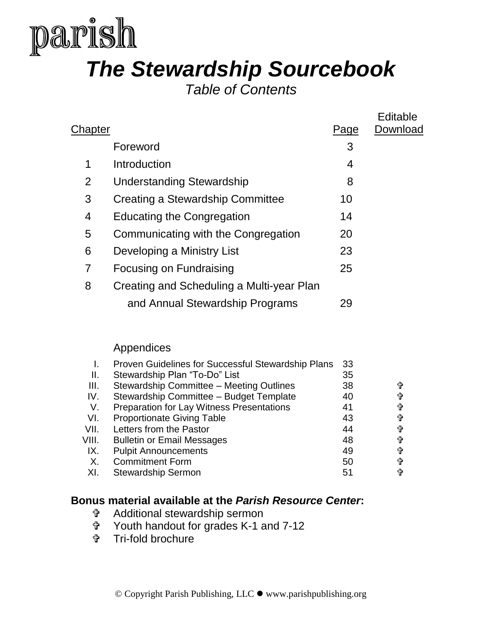

# *The Stewardship Sourcebook*

*Table of Contents*

|         |                                           |      | Editable |
|---------|-------------------------------------------|------|----------|
| Chapter |                                           | Page | Download |
|         | Foreword                                  | 3    |          |
| 1       | Introduction                              | 4    |          |
| 2       | <b>Understanding Stewardship</b>          | 8    |          |
| 3       | Creating a Stewardship Committee          | 10   |          |
| 4       | <b>Educating the Congregation</b>         | 14   |          |
| 5       | Communicating with the Congregation       | 20   |          |
| 6       | Developing a Ministry List                | 23   |          |
| 7       | Focusing on Fundraising                   | 25   |          |
| 8       | Creating and Scheduling a Multi-year Plan |      |          |
|         | and Annual Stewardship Programs           | 29   |          |
|         |                                           |      |          |

## Appendices

|       | Proven Guidelines for Successful Stewardship Plans | 33 |   |
|-------|----------------------------------------------------|----|---|
| Ш.    | Stewardship Plan "To-Do" List                      | 35 |   |
| III.  | Stewardship Committee - Meeting Outlines           | 38 | 令 |
| IV.   | Stewardship Committee - Budget Template            | 40 | ╬ |
| V.    | <b>Preparation for Lay Witness Presentations</b>   | 41 | 帶 |
| VI.   | <b>Proportionate Giving Table</b>                  | 43 | ╬ |
| VII.  | Letters from the Pastor                            | 44 | 帶 |
| VIII. | <b>Bulletin or Email Messages</b>                  | 48 | 帶 |
| IX.   | <b>Pulpit Announcements</b>                        | 49 | 令 |
| Χ.    | <b>Commitment Form</b>                             | 50 | 帶 |
| XI.   | <b>Stewardship Sermon</b>                          | 51 | ⇧ |

## **Bonus material available at the** *Parish Resource Center***:**

- Additional stewardship sermon
- Youth handout for grades K-1 and 7-12
- Tri-fold brochure